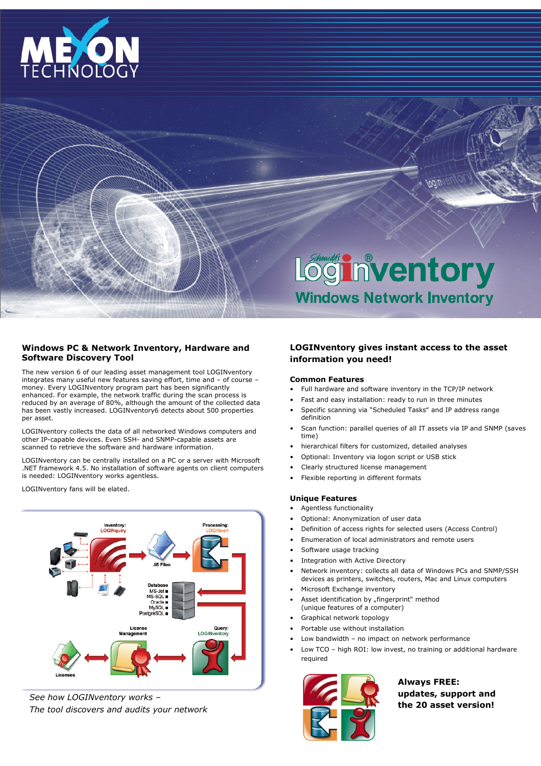

# Loginventory **Windows Network Inventory**

# Windows PC & Network Inventory, Hardware and Software Discovery Tool

The new version 6 of our leading asset management tool LOGINventory integrates many useful new features saving effort, time and – of course – money. Every LOGINventory program part has been significantly enhanced. For example, the network traffic during the scan process is reduced by an average of 80%, although the amount of the collected data has been vastly increased. LOGINventory6 detects about 500 properties per asset.

LOGINventory collects the data of all networked Windows computers and other IP-capable devices. Even SSH- and SNMP-capable assets are scanned to retrieve the software and hardware information.

LOGINventory can be centrally installed on a PC or a server with Microsoft .NET framework 4.5. No installation of software agents on client computers is needed: LOGINventory works agentless.

LOGINventory fans will be elated.



See how LOGINventory works – The tool discovers and audits your network

# LOGINventory gives instant access to the asset information you need!

## Common Features

- Full hardware and software inventory in the TCP/IP network
- Fast and easy installation: ready to run in three minutes
- Specific scanning via "Scheduled Tasks" and IP address range definition
- Scan function: parallel queries of all IT assets via IP and SNMP (saves time)
- hierarchical filters for customized, detailed analyses
- Optional: Inventory via logon script or USB stick
- Clearly structured license management
- Flexible reporting in different formats

# Unique Features

- Agentless functionality
- Optional: Anonymization of user data
- Definition of access rights for selected users (Access Control)
- Enumeration of local administrators and remote users
- Software usage tracking
- Integration with Active Directory
- Network inventory: collects all data of Windows PCs and SNMP/SSH devices as printers, switches, routers, Mac and Linux computers
- Microsoft Exchange inventory
- Asset identification by "fingerprint" method
- (unique features of a computer)
- Graphical network topology
- Portable use without installation
- Low bandwidth no impact on network performance
- Low TCO high ROI: low invest, no training or additional hardware required



Always FREE: updates, support and the 20 asset version!